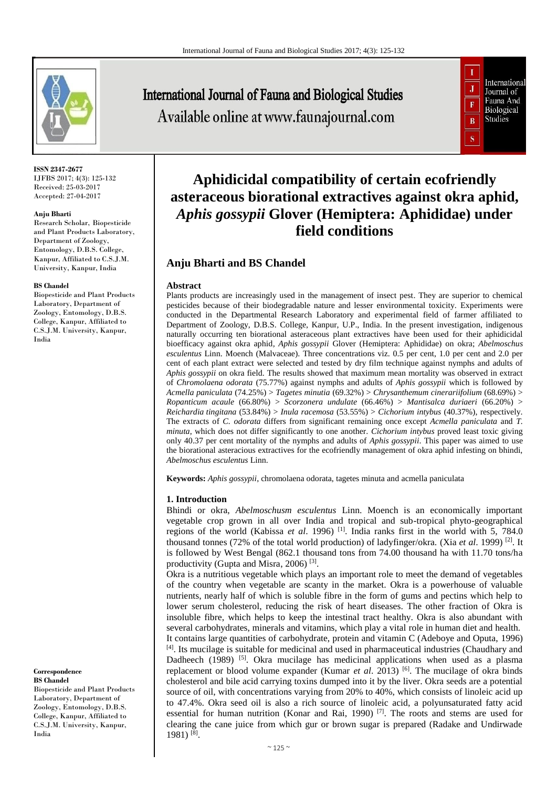

**ISSN 2347-2677** IJFBS 2017; 4(3): 125-132 Received: 25-03-2017 Accepted: 27-04-2017

#### **Anju Bharti**

Research Scholar, Biopesticide and Plant Products Laboratory, Department of Zoology, Entomology, D.B.S. College, Kanpur, Affiliated to C.S.J.M. University, Kanpur, India

#### **BS Chandel**

Biopesticide and Plant Products Laboratory, Department of Zoology, Entomology, D.B.S. College, Kanpur, Affiliated to C.S.J.M. University, Kanpur, India

**Correspondence BS Chandel**

Biopesticide and Plant Products Laboratory, Department of Zoology, Entomology, D.B.S. College, Kanpur, Affiliated to C.S.J.M. University, Kanpur, India

# **International Journal of Fauna and Biological Studies** Available online at www.faunajournal.com



# **Aphidicidal compatibility of certain ecofriendly asteraceous biorational extractives against okra aphid,**  *Aphis gossypii* **Glover (Hemiptera: Aphididae) under field conditions**

## **Anju Bharti and BS Chandel**

#### **Abstract**

Plants products are increasingly used in the management of insect pest. They are superior to chemical pesticides because of their biodegradable nature and lesser environmental toxicity. Experiments were conducted in the Departmental Research Laboratory and experimental field of farmer affiliated to Department of Zoology, D.B.S. College, Kanpur, U.P., India. In the present investigation, indigenous naturally occurring ten biorational asteraceous plant extractives have been used for their aphidicidal bioefficacy against okra aphid*, Aphis gossypii* Glover (Hemiptera: Aphididae) on okra; *Abelmoschus esculentus* Linn. Moench (Malvaceae). Three concentrations viz. 0.5 per cent, 1.0 per cent and 2.0 per cent of each plant extract were selected and tested by dry film technique against nymphs and adults of *Aphis gossypii* on okra field. The results showed that maximum mean mortality was observed in extract of *Chromolaena odorata* (75.77%) against nymphs and adults of *Aphis gossypii* which is followed by *Acmella paniculata* (74.25%) > *Tagetes minutia* (69.32%) > *Chrysanthemum cinerariifolium* (68.69%) > *Ropanticum acaule* (66.80%) > *Scorzonera undulate* (66.46%) > *Mantisalca duriaeri* (66.20%) > *Reichardia tingitana* (53.84%) > *Inula racemosa* (53.55%) > *Cichorium intybus* (40.37%), respectively. The extracts of *C. odorata* differs from significant remaining once except *Acmella paniculata* and *T. minuta*, which does not differ significantly to one another. *Cichorium intybus* proved least toxic giving only 40.37 per cent mortality of the nymphs and adults of *Aphis gossypii*. This paper was aimed to use the biorational asteracious extractives for the ecofriendly management of okra aphid infesting on bhindi, *Abelmoschus esculentus* Linn.

**Keywords:** *Aphis gossypii*, chromolaena odorata, tagetes minuta and acmella paniculata

#### **1. Introduction**

Bhindi or okra, *Abelmoschusm esculentus* Linn. Moench is an economically important vegetable crop grown in all over India and tropical and sub-tropical phyto-geographical regions of the world (Kabissa *et al*. 1996) [1]. India ranks first in the world with 5, 784.0 thousand tonnes (72% of the total world production) of ladyfinger/okra. (Xia *et al*. 1999) [2]. It is followed by West Bengal (862.1 thousand tons from 74.00 thousand ha with 11.70 tons/ha productivity (Gupta and Misra, 2006)<sup>[3]</sup>.

Okra is a nutritious vegetable which plays an important role to meet the demand of vegetables of the country when vegetable are scanty in the market. Okra is a powerhouse of valuable nutrients, nearly half of which is soluble fibre in the form of gums and pectins which help to lower serum cholesterol, reducing the risk of heart diseases. The other fraction of Okra is insoluble fibre, which helps to keep the intestinal tract healthy. Okra is also abundant with several carbohydrates, minerals and vitamins, which play a vital role in human diet and health. It contains large quantities of carbohydrate, protein and vitamin C (Adeboye and Oputa, 1996) [4]. Its mucilage is suitable for medicinal and used in pharmaceutical industries (Chaudhary and Dadheech (1989) <sup>[5]</sup>. Okra mucilage has medicinal applications when used as a plasma replacement or blood volume expander (Kumar *et al*. 2013) [6]. The mucilage of okra binds cholesterol and bile acid carrying toxins dumped into it by the liver. Okra seeds are a potential source of oil, with concentrations varying from 20% to 40%, which consists of linoleic acid up to 47.4%. Okra seed oil is also a rich source of linoleic acid, a polyunsaturated fatty acid essential for human nutrition (Konar and Rai, 1990)  $[7]$ . The roots and stems are used for clearing the cane juice from which gur or brown sugar is prepared (Radake and Undirwade 1981) [8] .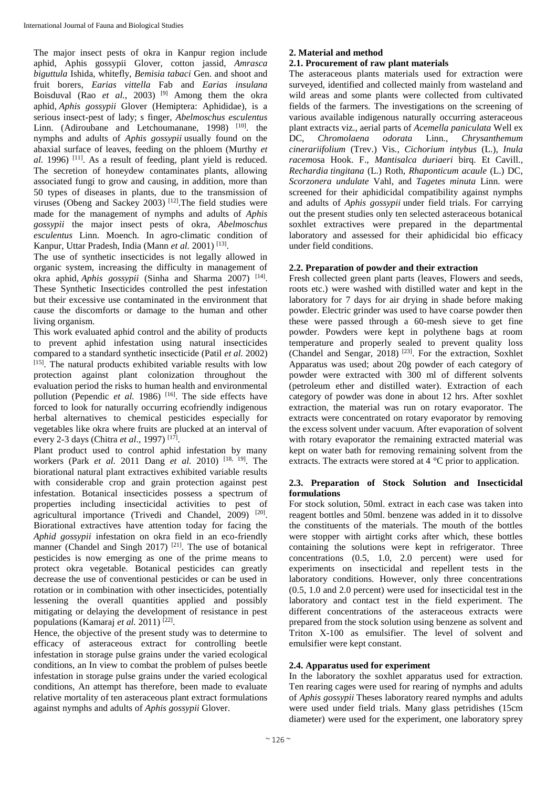The major insect pests of okra in Kanpur region include aphid, Aphis gossypii Glover, cotton jassid, *Amrasca biguttula* Ishida, whitefly, *Bemisia tabaci* Gen. and shoot and fruit borers, *Earias vittella* Fab and *Earias insulana* Boisduval (Rao *et al.*, 2003)<sup>[9]</sup> Among them the okra aphid, *Aphis gossypii* Glover (Hemiptera: Aphididae), is a serious insect-pest of lady; s finger, *Abelmoschus esculentus*  Linn. (Adiroubane and Letchoumanane, 1998)<sup>[10]</sup>. the nymphs and adults of *Aphis gossypii* usually found on the abaxial surface of leaves, feeding on the phloem (Murthy *et al.* 1996) <sup>[11]</sup>. As a result of feeding, plant yield is reduced. The secretion of honeydew contaminates plants, allowing associated fungi to grow and causing, in addition, more than 50 types of diseases in plants, due to the transmission of viruses (Obeng and Sackey 2003) [12].The field studies were made for the management of nymphs and adults of *Aphis gossypii* the major insect pests of okra, *Abelmoschus esculentus* Linn. Moench. In agro-climatic condition of Kanpur, Uttar Pradesh, India (Mann *et al.* 2001)<sup>[13]</sup>.

The use of synthetic insecticides is not legally allowed in organic system, increasing the difficulty in management of okra aphid, *Aphis gossypii* (Sinha and Sharma 2007)<sup>[14]</sup>. These Synthetic Insecticides controlled the pest infestation but their excessive use contaminated in the environment that cause the discomforts or damage to the human and other living organism.

This work evaluated aphid control and the ability of products to prevent aphid infestation using natural insecticides compared to a standard synthetic insecticide (Patil *et al.* 2002)  $[15]$ . The natural products exhibited variable results with low protection against plant colonization throughout the evaluation period the risks to human health and environmental pollution (Pependic *et al.* 1986)<sup>[16]</sup>. The side effects have forced to look for naturally occurring ecofriendly indigenous herbal alternatives to chemical pesticides especially for vegetables like okra where fruits are plucked at an interval of every 2-3 days (Chitra *et al.*, 1997)<sup>[17]</sup>.

Plant product used to control aphid infestation by many workers (Park *et al.* 2011 Dang *et al.* 2010) [18, 19] . The biorational natural plant extractives exhibited variable results with considerable crop and grain protection against pest infestation. Botanical insecticides possess a spectrum of properties including insecticidal activities to pest of agricultural importance (Trivedi and Chandel, 2009)<sup>[20]</sup>. Biorational extractives have attention today for facing the *Aphid gossypii* infestation on okra field in an eco-friendly manner (Chandel and Singh 2017) <sup>[21]</sup>. The use of botanical pesticides is now emerging as one of the prime means to protect okra vegetable. Botanical pesticides can greatly decrease the use of conventional pesticides or can be used in rotation or in combination with other insecticides, potentially lessening the overall quantities applied and possibly mitigating or delaying the development of resistance in pest populations (Kamaraj *et al.* 2011)<sup>[22]</sup>.

Hence, the objective of the present study was to determine to efficacy of asteraceous extract for controlling beetle infestation in storage pulse grains under the varied ecological conditions, an In view to combat the problem of pulses beetle infestation in storage pulse grains under the varied ecological conditions, An attempt has therefore, been made to evaluate relative mortality of ten asteraceous plant extract formulations against nymphs and adults of *Aphis gossypii* Glover.

### **2. Material and method**

#### **2.1. Procurement of raw plant materials**

The asteraceous plants materials used for extraction were surveyed, identified and collected mainly from wasteland and wild areas and some plants were collected from cultivated fields of the farmers. The investigations on the screening of various available indigenous naturally occurring asteraceous plant extracts viz., aerial parts of *Acemella paniculata* Well ex DC, *Chromolaena odorata* Linn.*, Chrysanthemum cinerariifolium* (Trev.) Vis.*, Cichorium intybus* (L.)*, Inula racem*osa Hook. F., *Mantisalca duriaeri* birq. Et Cavill.*, Rechardia tingitana* (L.) Roth*, Rhaponticum acaule* (L.) DC*, Scorzonera undulate* Vahl*,* and *Tagetes minuta* Linn. were screened for their aphidicidal compatibility against nymphs and adults of *Aphis gossypii* under field trials. For carrying out the present studies only ten selected asteraceous botanical soxhlet extractives were prepared in the departmental laboratory and assessed for their aphidicidal bio efficacy under field conditions.

#### **2.2. Preparation of powder and their extraction**

Fresh collected green plant parts (leaves, Flowers and seeds, roots etc.) were washed with distilled water and kept in the laboratory for 7 days for air drying in shade before making powder. Electric grinder was used to have coarse powder then these were passed through a 60-mesh sieve to get fine powder. Powders were kept in polythene bags at room temperature and properly sealed to prevent quality loss (Chandel and Sengar, 2018)<sup>[23]</sup>. For the extraction, Soxhlet Apparatus was used; about 20g powder of each category of powder were extracted with 300 ml of different solvents (petroleum ether and distilled water). Extraction of each category of powder was done in about 12 hrs. After soxhlet extraction, the material was run on rotary evaporator. The extracts were concentrated on rotary evaporator by removing the excess solvent under vacuum. After evaporation of solvent with rotary evaporator the remaining extracted material was kept on water bath for removing remaining solvent from the extracts. The extracts were stored at 4 °C prior to application.

#### **2.3. Preparation of Stock Solution and Insecticidal formulations**

For stock solution, 50ml. extract in each case was taken into reagent bottles and 50ml. benzene was added in it to dissolve the constituents of the materials. The mouth of the bottles were stopper with airtight corks after which, these bottles containing the solutions were kept in refrigerator. Three concentrations (0.5, 1.0, 2.0 percent) were used for experiments on insecticidal and repellent tests in the laboratory conditions. However, only three concentrations (0.5, 1.0 and 2.0 percent) were used for insecticidal test in the laboratory and contact test in the field experiment. The different concentrations of the asteraceous extracts were prepared from the stock solution using benzene as solvent and Triton X-100 as emulsifier. The level of solvent and emulsifier were kept constant.

#### **2.4. Apparatus used for experiment**

In the laboratory the soxhlet apparatus used for extraction. Ten rearing cages were used for rearing of nymphs and adults of *Aphis gossypii* Theses laboratory reared nymphs and adults were used under field trials. Many glass petridishes (15cm diameter) were used for the experiment, one laboratory sprey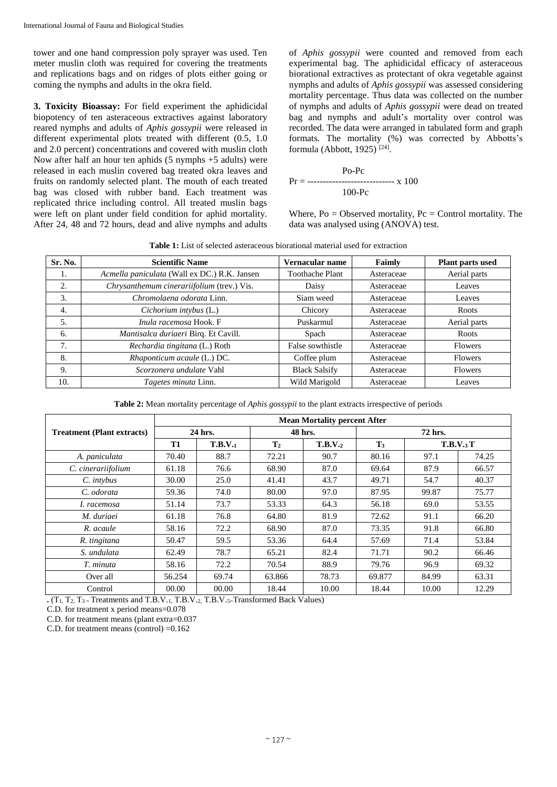tower and one hand compression poly sprayer was used. Ten meter muslin cloth was required for covering the treatments and replications bags and on ridges of plots either going or coming the nymphs and adults in the okra field.

**3. Toxicity Bioassay:** For field experiment the aphidicidal biopotency of ten asteraceous extractives against laboratory reared nymphs and adults of *Aphis gossypii* were released in different experimental plots treated with different (0.5, 1.0 and 2.0 percent) concentrations and covered with muslin cloth Now after half an hour ten aphids (5 nymphs +5 adults) were released in each muslin covered bag treated okra leaves and fruits on randomly selected plant. The mouth of each treated bag was closed with rubber band. Each treatment was replicated thrice including control. All treated muslin bags were left on plant under field condition for aphid mortality. After 24, 48 and 72 hours, dead and alive nymphs and adults of *Aphis gossypii* were counted and removed from each experimental bag. The aphidicidal efficacy of asteraceous biorational extractives as protectant of okra vegetable against nymphs and adults of *Aphis gossypii* was assessed considering mortality percentage. Thus data was collected on the number of nymphs and adults of *Aphis gossypii* were dead on treated bag and nymphs and adult's mortality over control was recorded. The data were arranged in tabulated form and graph formats. The mortality (%) was corrected by Abbotts's formula (Abbott, 1925) [24] .

$$
Pr = \frac{Po - Pc}{100 - Pc}
$$
x 100

Where,  $Po = Observed$  mortality,  $Pc = Control$  mortality. The data was analysed using (ANOVA) test.

**Table 1:** List of selected asteraceous biorational material used for extraction

| Sr. No. | <b>Scientific Name</b>                       | Vernacular name        | Faimly     | Plant parts used |
|---------|----------------------------------------------|------------------------|------------|------------------|
| 1.      | Acmella paniculata (Wall ex DC.) R.K. Jansen | <b>Toothache Plant</b> | Asteraceae | Aerial parts     |
| 2.      | Chrysanthemum cinerariifolium (trev.) Vis.   | Daisy                  | Asteraceae | Leaves           |
| 3.      | Chromolaena odorata Linn.                    | Siam weed              | Asteraceae | Leaves           |
| 4.      | Cichorium intybus (L.)                       | Chicory                | Asteraceae | Roots            |
| 5.      | Inula racemosa Hook. F                       | Puskarmul              | Asteraceae | Aerial parts     |
| 6.      | Mantisalca duriaeri Birq. Et Cavill.         | Spach                  | Asteraceae | Roots            |
| 7.      | Rechardia tingitana (L.) Roth                | False sowthistle       | Asteraceae | <b>Flowers</b>   |
| 8.      | Rhaponticum acaule (L.) DC.                  | Coffee plum            | Asteraceae | <b>Flowers</b>   |
| 9.      | Scorzonera undulate Vahl                     | <b>Black Salsify</b>   | Asteraceae | <b>Flowers</b>   |
| 10.     | Tagetes minuta Linn.                         | Wild Marigold          | Asteraceae | Leaves           |

**Table 2:** Mean mortality percentage of *Aphis gossypii* to the plant extracts irrespective of periods

|                                   | <b>Mean Mortality percent After</b> |         |                |         |                |           |       |
|-----------------------------------|-------------------------------------|---------|----------------|---------|----------------|-----------|-------|
| <b>Treatment (Plant extracts)</b> | 24 hrs.                             |         | 48 hrs.        |         | 72 hrs.        |           |       |
|                                   | T1                                  | T.B.V.1 | $\mathbf{T}_2$ | T.B.V.2 | T <sub>3</sub> | T.B.V.3 T |       |
| A. paniculata                     | 70.40                               | 88.7    | 72.21          | 90.7    | 80.16          | 97.1      | 74.25 |
| C. cinerariifolium                | 61.18                               | 76.6    | 68.90          | 87.0    | 69.64          | 87.9      | 66.57 |
| C. intybus                        | 30.00                               | 25.0    | 41.41          | 43.7    | 49.71          | 54.7      | 40.37 |
| C. odorata                        | 59.36                               | 74.0    | 80.00          | 97.0    | 87.95          | 99.87     | 75.77 |
| I. racemosa                       | 51.14                               | 73.7    | 53.33          | 64.3    | 56.18          | 69.0      | 53.55 |
| M. duriaei                        | 61.18                               | 76.8    | 64.80          | 81.9    | 72.62          | 91.1      | 66.20 |
| R. acaule                         | 58.16                               | 72.2    | 68.90          | 87.0    | 73.35          | 91.8      | 66.80 |
| R. tingitana                      | 50.47                               | 59.5    | 53.36          | 64.4    | 57.69          | 71.4      | 53.84 |
| S. undulata                       | 62.49                               | 78.7    | 65.21          | 82.4    | 71.71          | 90.2      | 66.46 |
| T. minuta                         | 58.16                               | 72.2    | 70.54          | 88.9    | 79.76          | 96.9      | 69.32 |
| Over all                          | 56.254                              | 69.74   | 63.866         | 78.73   | 69.877         | 84.99     | 63.31 |
| Control                           | 00.00                               | 00.00   | 18.44          | 10.00   | 18.44          | 10.00     | 12.29 |

 $\cdot$  (T<sub>1</sub>, T<sub>2</sub>, T<sub>3</sub> = Treatments and T.B.V.<sub>1,</sub> T.B.V.<sub>2</sub>, T.B.V.<sub>5</sub>=Transformed Back Values)

C.D. for treatment x period means=0.078

C.D. for treatment means (plant extra=0.037

C.D. for treatment means (control) =0.162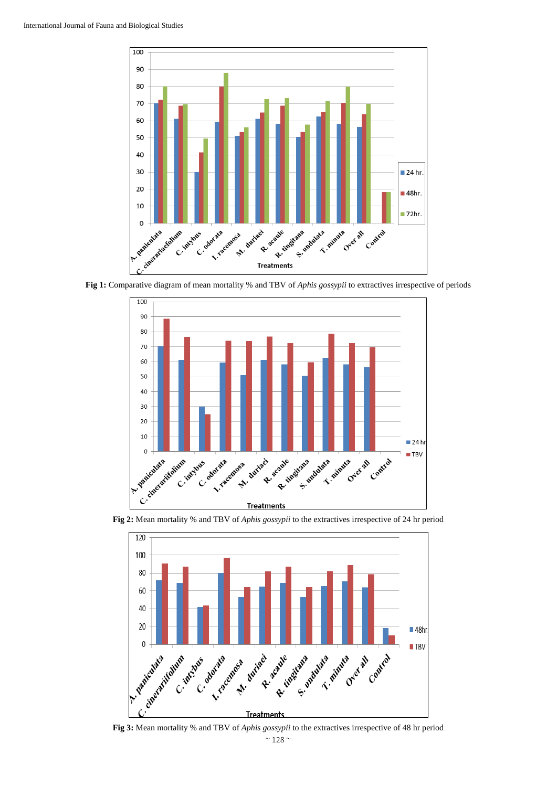

**Fig 1:** Comparative diagram of mean mortality % and TBV of *Aphis gossypii* to extractives irrespective of periods



**Fig 2:** Mean mortality % and TBV of *Aphis gossypii* to the extractives irrespective of 24 hr period



**Fig 3:** Mean mortality % and TBV of *Aphis gossypii* to the extractives irrespective of 48 hr period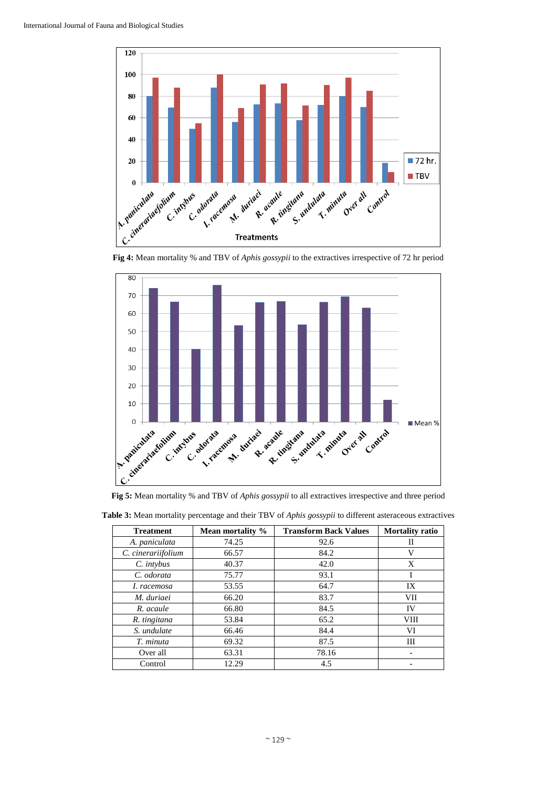



**Fig 5:** Mean mortality % and TBV of *Aphis gossypii* to all extractives irrespective and three period

| <b>Treatment</b>   | Mean mortality % | <b>Transform Back Values</b> | <b>Mortality ratio</b> |  |
|--------------------|------------------|------------------------------|------------------------|--|
| A. paniculata      | 74.25            | 92.6                         | П                      |  |
| C. cinerariifolium | 66.57            | 84.2                         | V                      |  |
| C. intybus         | 40.37            | 42.0                         | X                      |  |
| C. odorata         | 75.77            | 93.1                         | Ι                      |  |
| I. racemosa        | 53.55            | 64.7                         | IX                     |  |
| M. duriaei         | 66.20            | 83.7                         | VII                    |  |
| R. acaule          | 66.80            | 84.5                         | IV                     |  |
| R. tingitana       | 53.84            | 65.2                         | <b>VIII</b>            |  |
| S. undulate        | 66.46            | 84.4                         | VI                     |  |
| T. minuta          | 69.32            | 87.5                         | Ш                      |  |
| Over all           | 63.31            | 78.16                        |                        |  |
| Control            | 12.29            | 4.5                          |                        |  |

**Table 3:** Mean mortality percentage and their TBV of *Aphis gossypii* to different asteraceous extractives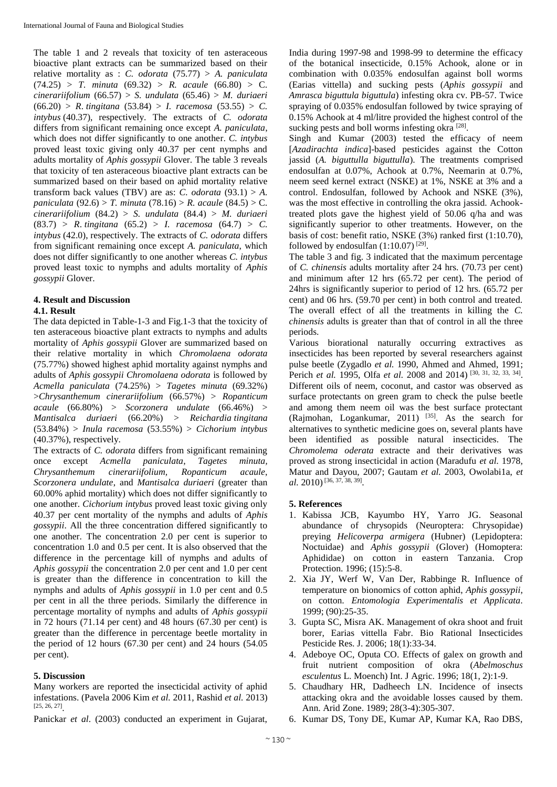The table 1 and 2 reveals that toxicity of ten asteraceous bioactive plant extracts can be summarized based on their relative mortality as : *C. odorata* (75.77) > *A. paniculata*  $(74.25)$  > *T. minuta*  $(69.32)$  > *R. acaule*  $(66.80)$  > *C. cinerariifolium* (66.57) > *S. undulata* (65.46) > *M. duriaeri* (66.20) > *R*. *tingitana* (53.84) > *I. racemosa* (53.55) > *C. intybus* (40.37), respectively. The extracts of *C. odorata* differs from significant remaining once except *A. paniculata*, which does not differ significantly to one another. *C. intybus* proved least toxic giving only 40.37 per cent nymphs and adults mortality of *Aphis gossypii* Glover. The table 3 reveals that toxicity of ten asteraceous bioactive plant extracts can be summarized based on their based on aphid mortality relative transform back values (TBV) are as: *C. odorata* (93.1)  $> A$ . *paniculata* (92.6) > *T. minuta* (78.16) > *R. acaule* (84.5) > C. *cinerariifolium* (84.2) > *S. undulata* (84.4) > *M. duriaeri* (83.7) > *R*. *tingitana* (65.2) > *I. racemosa* (64.7) > *C. intybus* (42.0), respectively. The extracts of *C. odorata* differs from significant remaining once except *A. paniculata*, which does not differ significantly to one another whereas *C. intybus* proved least toxic to nymphs and adults mortality of *Aphis gossypii* Glover.

# **4. Result and Discussion**

#### **4.1. Result**

The data depicted in Table-1-3 and Fig.1-3 that the toxicity of ten asteraceous bioactive plant extracts to nymphs and adults mortality of *Aphis gossypii* Glover are summarized based on their relative mortality in which *Chromolaena odorata* (75.77%) showed highest aphid mortality against nymphs and adults of *Aphis gossypii Chromolaena odorata* is followed by *Acmella paniculata* (74.25%) > *Tagetes minuta* (69.32%) >*Chrysanthemum cinerariifolium* (66.57%) > *Ropanticum acaule* (66.80%) > *Scorzonera undulate* (66.46%) > *Mantisalca duriaeri* (66.20%) > *Reichardia tingitana* (53.84%) > *Inula racemosa* (53.55%) > *Cichorium intybus*  (40.37%), respectively.

The extracts of *C. odorata* differs from significant remaining once except *Acmella paniculata*, *Tagetes minuta, Chrysanthemum cinerariifolium, Ropanticum acaule*, *Scorzonera undulate*, and *Mantisalca duriaeri* (greater than 60.00% aphid mortality) which does not differ significantly to one another. *Cichorium intybus* proved least toxic giving only 40.37 per cent mortality of the nymphs and adults of *Aphis gossypii*. All the three concentration differed significantly to one another. The concentration 2.0 per cent is superior to concentration 1.0 and 0.5 per cent. It is also observed that the difference in the percentage kill of nymphs and adults of *Aphis gossypii* the concentration 2.0 per cent and 1.0 per cent is greater than the difference in concentration to kill the nymphs and adults of *Aphis gossypii* in 1.0 per cent and 0.5 per cent in all the three periods. Similarly the difference in percentage mortality of nymphs and adults of *Aphis gossypii* in 72 hours (71.14 per cent) and 48 hours (67.30 per cent) is greater than the difference in percentage beetle mortality in the period of 12 hours (67.30 per cent) and 24 hours (54.05 per cent).

#### **5. Discussion**

Many workers are reported the insecticidal activity of aphid infestations. (Pavela 2006 Kim *et al.* 2011, Rashid *et al.* 2013) [25, 26, 27] .

Panickar *et al*. (2003) conducted an experiment in Gujarat,

India during 1997-98 and 1998-99 to determine the efficacy of the botanical insecticide, 0.15% Achook, alone or in combination with 0.035% endosulfan against boll worms (Earias vittella) and sucking pests (*Aphis gossypii* and *Amrasca biguttula biguttula*) infesting okra cv. PB-57. Twice spraying of 0.035% endosulfan followed by twice spraying of 0.15% Achook at 4 ml/litre provided the highest control of the sucking pests and boll worms infesting okra [28].

Singh and Kumar (2003) tested the efficacy of neem [*Azadirachta indica*]-based pesticides against the Cotton jassid (*A. biguttulla biguttulla*). The treatments comprised endosulfan at 0.07%, Achook at 0.7%, Neemarin at 0.7%, neem seed kernel extract (NSKE) at 1%, NSKE at 3% and a control. Endosulfan, followed by Achook and NSKE (3%), was the most effective in controlling the okra jassid. Achooktreated plots gave the highest yield of 50.06 q/ha and was significantly superior to other treatments. However, on the basis of cost: benefit ratio, NSKE (3%) ranked first (1:10.70), followed by endosulfan  $(1:10.07)^{[29]}$ .

The table 3 and fig. 3 indicated that the maximum percentage of *C. chinensis* adults mortality after 24 hrs. (70.73 per cent) and minimum after 12 hrs (65.72 per cent). The period of 24hrs is significantly superior to period of 12 hrs. (65.72 per cent) and 06 hrs. (59.70 per cent) in both control and treated. The overall effect of all the treatments in killing the *C. chinensis* adults is greater than that of control in all the three periods.

Various biorational naturally occurring extractives as insecticides has been reported by several researchers against pulse beetle (Zygadlo *et al.* 1990, Ahmed and Ahmed, 1991; Perich *et al.* 1995, Olfa *et al.* 2008 and 2014)<sup>[30, 31, 32, 33, 34].</sup> Different oils of neem, coconut, and castor was observed as surface protectants on green gram to check the pulse beetle and among them neem oil was the best surface protectant (Rajmohan, Logankumar, 2011)  $[35]$ . As the search for alternatives to synthetic medicine goes on, several plants have been identified as possible natural insecticides. The *Chromolema oderata* extracte and their derivatives was proved as strong insecticidal in action (Maradufu *et al.* 1978, Matur and Dayou, 2007; Gautam *et al.* 2003, Owolabi1a, *et*  al. 2010)<sup>[36, 37, 38, 39].</sup>

#### **5. References**

- 1. Kabissa JCB, Kayumbo HY, Yarro JG. Seasonal abundance of chrysopids (Neuroptera: Chrysopidae) preying *Helicoverpa armigera* (Hubner) (Lepidoptera: Noctuidae) and *Aphis gossypii* (Glover) (Homoptera: Aphididae) on cotton in eastern Tanzania. Crop Protection. 1996; (15):5-8.
- 2. Xia JY, Werf W, Van Der, Rabbinge R. Influence of temperature on bionomics of cotton aphid, *Aphis gossypii*, on cotton. *Entomologia Experimentalis et Applicata.* 1999; (90):25-35.
- 3. Gupta SC, Misra AK. Management of okra shoot and fruit borer, Earias vittella Fabr. Bio Rational Insecticides Pesticide Res. J. 2006; 18(1):33-34.
- 4. Adeboye OC, Oputa CO. Effects of galex on growth and fruit nutrient composition of okra (*Abelmoschus esculentus* L. Moench) Int. J Agric. 1996; 18(1, 2):1-9.
- 5. Chaudhary HR, Dadheech LN. Incidence of insects attacking okra and the avoidable losses caused by them. Ann. Arid Zone. 1989; 28(3-4):305-307.
- 6. Kumar DS, Tony DE, Kumar AP, Kumar KA, Rao DBS,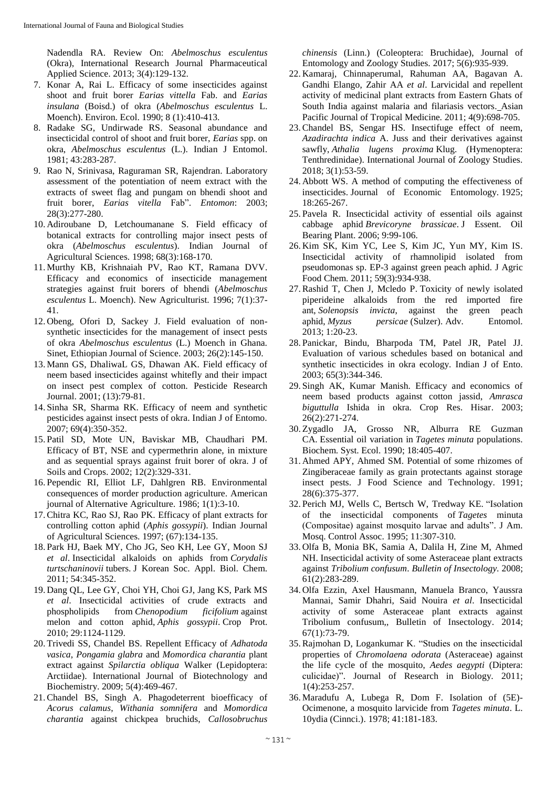Nadendla RA. Review On: *Abelmoschus esculentus* (Okra), International Research Journal Pharmaceutical Applied Science. 2013; 3(4):129-132.

- 7. Konar A, Rai L. Efficacy of some insecticides against shoot and fruit borer *Earias vittella* Fab. and *Earias insulana* (Boisd.) of okra (*Abelmoschus esculentus* L. Moench). Environ. Ecol. 1990; 8 (1):410-413.
- 8. Radake SG, Undirwade RS. Seasonal abundance and insecticidal control of shoot and fruit borer, *Earias* spp. on okra, *Abelmoschus esculentus* (L.). Indian J Entomol. 1981; 43:283-287.
- 9. Rao N, Srinivasa, Raguraman SR, Rajendran. Laboratory assessment of the potentiation of neem extract with the extracts of sweet flag and pungam on bhendi shoot and fruit borer, *Earias vitella* Fab". *Entomon*: 2003; 28(3):277-280.
- 10. Adiroubane D, Letchoumanane S. Field efficacy of botanical extracts for controlling major insect pests of okra (*Abelmoschus esculentus*). Indian Journal of Agricultural Sciences. 1998; 68(3):168-170.
- 11. Murthy KB, Krishnaiah PV, Rao KT, Ramana DVV. Efficacy and economics of insecticide management strategies against fruit borers of bhendi (*Abelmoschus esculentus* L. Moench). New Agriculturist. 1996; 7(1):37- 41.
- 12. Obeng, Ofori D, Sackey J. Field evaluation of nonsynthetic insecticides for the management of insect pests of okra *Abelmoschus esculentus* (L.) Moench in Ghana. Sinet, Ethiopian Journal of Science. 2003; 26(2):145-150.
- 13. Mann GS, DhaliwaL GS, Dhawan AK. Field efficacy of neem based insecticides against whitefly and their impact on insect pest complex of cotton. Pesticide Research Journal. 2001; (13):79-81.
- 14. Sinha SR, Sharma RK. Efficacy of neem and synthetic pesticides against insect pests of okra. Indian J of Entomo. 2007; 69(4):350-352.
- 15. Patil SD, Mote UN, Baviskar MB, Chaudhari PM. Efficacy of BT, NSE and cypermethrin alone, in mixture and as sequential sprays against fruit borer of okra. J of Soils and Crops. 2002; 12(2):329-331.
- 16. Pependic RI, Elliot LF, Dahlgren RB. Environmental consequences of morder production agriculture. American journal of Alternative Agriculture*.* 1986; 1(1):3-10.
- 17.Chitra KC, Rao SJ, Rao PK. Efficacy of plant extracts for controlling cotton aphid (*Aphis gossypii*). Indian Journal of Agricultural Sciences. 1997; (67):134-135.
- 18. Park HJ, Baek MY, Cho JG, Seo KH, Lee GY, Moon SJ *et al*. Insecticidal alkaloids on aphids from *Corydalis turtschaninovii* tubers. J Korean Soc. Appl. Biol. Chem. 2011; 54:345-352.
- 19. Dang QL, Lee GY, Choi YH, Choi GJ, Jang KS, Park MS *et al*. Insecticidal activities of crude extracts and phospholipids from *Chenopodium ficifolium* against melon and cotton aphid, *Aphis gossypii*. Crop Prot. 2010; 29:1124-1129.
- 20. Trivedi SS, Chandel BS. Repellent Efficacy of *Adhatoda vasica*, *Pongamia glabra* and *Momordica charantia* plant extract against *Spilarctia obliqua* Walker (Lepidoptera: Arctiidae). International Journal of Biotechnology and Biochemistry. 2009; 5(4):469-467.
- 21.Chandel BS, Singh A. Phagodeterrent bioefficacy of *Acorus calamus*, *Withania somnifera* and *Momordica charantia* against chickpea bruchids, *Callosobruchus*

*chinensis* (Linn.) (Coleoptera: Bruchidae), Journal of Entomology and Zoology Studies*.* 2017; 5(6):935-939.

- 22. Kamaraj, Chinnaperumal, Rahuman AA, Bagavan A. Gandhi Elango, Zahir AA *et al*. Larvicidal and repellent activity of medicinal plant extracts from Eastern Ghats of South India against malaria and filariasis vectors. Asian Pacific Journal of Tropical Medicine*.* 2011; 4(9):698-705.
- 23.Chandel BS, Sengar HS. Insectifuge effect of neem, *Azadirachta indica* A. Juss and their derivatives against sawfly, *Athalia lugens proxima* Klug. (Hymenoptera: Tenthredinidae). International Journal of Zoology Studies. 2018; 3(1):53-59.
- 24. Abbott WS. A method of computing the effectiveness of insecticides. Journal of Economic Entomology. 1925; 18:265-267.
- 25. Pavela R. Insecticidal activity of essential oils against cabbage aphid *Brevicoryne brassicae*. J Essent. Oil Bearing Plant. 2006; 9:99-106.
- 26. Kim SK, Kim YC, Lee S, Kim JC, Yun MY, Kim IS. Insecticidal activity of rhamnolipid isolated from pseudomonas sp. EP-3 against green peach aphid. J Agric Food Chem. 2011; 59(3):934-938.
- 27.Rashid T, Chen J, Mcledo P. Toxicity of newly isolated piperideine alkaloids from the red imported fire ant, *Solenopsis invicta*, against the green peach aphid, *Myzus persicae* (Sulzer). Adv. Entomol. 2013; 1:20-23.
- 28. Panickar, Bindu, Bharpoda TM, Patel JR, Patel JJ. Evaluation of various schedules based on botanical and synthetic insecticides in okra ecology. Indian J of Ento. 2003; 65(3):344-346.
- 29. Singh AK, Kumar Manish. Efficacy and economics of neem based products against cotton jassid, *Amrasca biguttulla* Ishida in okra. Crop Res. Hisar. 2003; 26(2):271-274.
- 30. Zygadlo JA, Grosso NR, Alburra RE Guzman CA. Essential oil variation in *Tagetes minuta* populations. Biochem. Syst. Ecol. 1990; 18:405-407.
- 31. Ahmed APY, Ahmed SM. Potential of some rhizomes of Zingiberaceae family as grain protectants against storage insect pests. J Food Science and Technology. 1991; 28(6):375-377.
- 32. Perich MJ, Wells C, Bertsch W, Tredway KE. "Isolation of the insecticidal components of *Tagetes* minuta (Compositae) against mosquito larvae and adults". J Am. Mosq. Control Assoc. 1995; 11:307-310.
- 33. Olfa B, Monia BK, Samia A, Dalila H, Zine M, Ahmed NH. Insecticidal activity of some Asteraceae plant extracts against *Tribolium confusum*. *Bulletin of Insectology.* 2008; 61(2):283-289.
- 34. Olfa Ezzin, Axel Hausmann, Manuela Branco, Yaussra Mannai, Samir Dhahri, Said Nouira *et al*. Insecticidal activity of some Asteraceae plant extracts against Tribolium confusum,, Bulletin of Insectology*.* 2014; 67(1):73-79.
- 35.Rajmohan D, Logankumar K. "Studies on the insecticidal properties of *Chromolaena odorata* (Asteraceae) against the life cycle of the mosquito, *Aedes aegypti* (Diptera: culicidae)". Journal of Research in Biology*.* 2011; 1(4):253-257.
- 36. Maradufu A, Lubega R, Dom F. Isolation of (5E)- Ocimenone, a mosquito larvicide from *Tagetes minuta*. L. 10ydia (Cinnci.). 1978; 41:181-183.